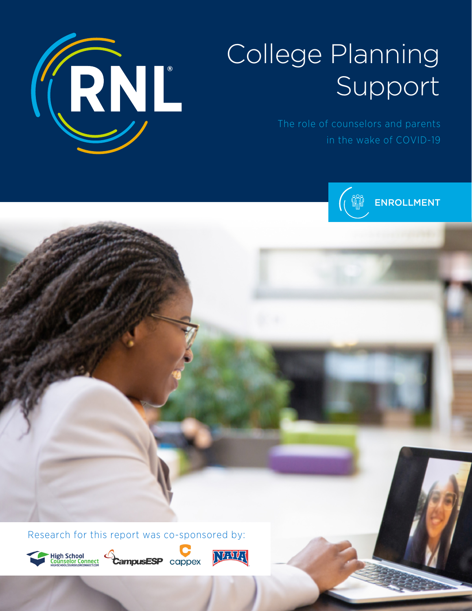

# College Planning Support

in the wake of COVID-19



Research for this report was co-sponsored by:







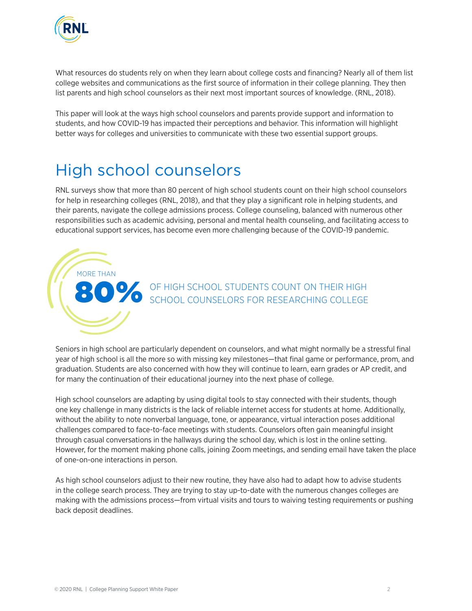

What resources do students rely on when they learn about college costs and financing? Nearly all of them list college websites and communications as the first source of information in their college planning. They then list parents and high school counselors as their next most important sources of knowledge. (RNL, 2018).

This paper will look at the ways high school counselors and parents provide support and information to students, and how COVID-19 has impacted their perceptions and behavior. This information will highlight better ways for colleges and universities to communicate with these two essential support groups.

# High school counselors

MORE THAN

RNL surveys show that more than 80 percent of high school students count on their high school counselors for help in researching colleges (RNL, 2018), and that they play a significant role in helping students, and their parents, navigate the college admissions process. College counseling, balanced with numerous other responsibilities such as academic advising, personal and mental health counseling, and facilitating access to educational support services, has become even more challenging because of the COVID-19 pandemic.



Seniors in high school are particularly dependent on counselors, and what might normally be a stressful final year of high school is all the more so with missing key milestones—that final game or performance, prom, and graduation. Students are also concerned with how they will continue to learn, earn grades or AP credit, and for many the continuation of their educational journey into the next phase of college.

High school counselors are adapting by using digital tools to stay connected with their students, though one key challenge in many districts is the lack of reliable internet access for students at home. Additionally, without the ability to note nonverbal language, tone, or appearance, virtual interaction poses additional challenges compared to face-to-face meetings with students. Counselors often gain meaningful insight through casual conversations in the hallways during the school day, which is lost in the online setting. However, for the moment making phone calls, joining Zoom meetings, and sending email have taken the place of one-on-one interactions in person.

As high school counselors adjust to their new routine, they have also had to adapt how to advise students in the college search process. They are trying to stay up-to-date with the numerous changes colleges are making with the admissions process—from virtual visits and tours to waiving testing requirements or pushing back deposit deadlines.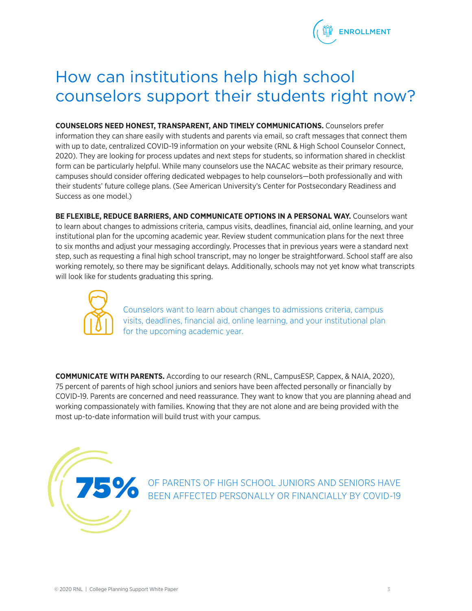

# How can institutions help high school counselors support their students right now?

**COUNSELORS NEED HONEST, TRANSPARENT, AND TIMELY COMMUNICATIONS.** Counselors prefer information they can share easily with students and parents via email, so craft messages that connect them with up to date, centralized COVID-19 information on your website (RNL & High School Counselor Connect, 2020). They are looking for process updates and next steps for students, so information shared in checklist form can be particularly helpful. While many counselors use the NACAC website as their primary resource, campuses should consider offering dedicated webpages to help counselors—both professionally and with their students' future college plans. (See American University's Center for Postsecondary Readiness and Success as one model.)

**BE FLEXIBLE, REDUCE BARRIERS, AND COMMUNICATE OPTIONS IN A PERSONAL WAY.** Counselors want to learn about changes to admissions criteria, campus visits, deadlines, financial aid, online learning, and your institutional plan for the upcoming academic year. Review student communication plans for the next three to six months and adjust your messaging accordingly. Processes that in previous years were a standard next step, such as requesting a final high school transcript, may no longer be straightforward. School staff are also working remotely, so there may be significant delays. Additionally, schools may not yet know what transcripts will look like for students graduating this spring.



Counselors want to learn about changes to admissions criteria, campus visits, deadlines, financial aid, online learning, and your institutional plan for the upcoming academic year.

**COMMUNICATE WITH PARENTS.** According to our research (RNL, CampusESP, Cappex, & NAIA, 2020), 75 percent of parents of high school juniors and seniors have been affected personally or financially by COVID-19. Parents are concerned and need reassurance. They want to know that you are planning ahead and working compassionately with families. Knowing that they are not alone and are being provided with the most up-to-date information will build trust with your campus.



**15 SPARENTS OF HIGH SCHOOL JUNIORS AND SENIORS HAVE BEEN AFFECTED PERSONALLY OR FINANCIALLY BY COVID-19**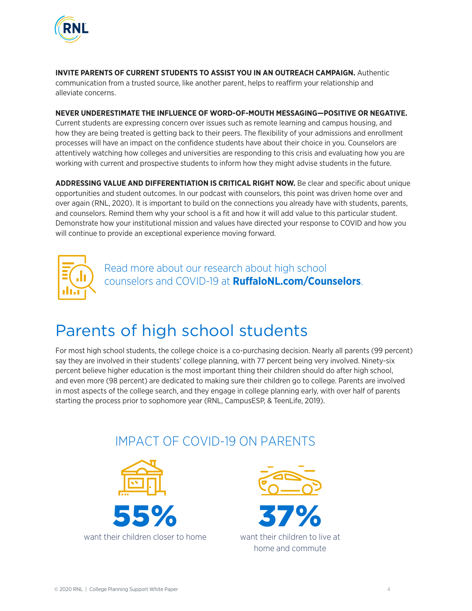

**INVITE PARENTS OF CURRENT STUDENTS TO ASSIST YOU IN AN OUTREACH CAMPAIGN.** Authentic communication from a trusted source, like another parent, helps to reaffirm your relationship and alleviate concerns.

#### **NEVER UNDERESTIMATE THE INFLUENCE OF WORD-OF-MOUTH MESSAGING—POSITIVE OR NEGATIVE.**

Current students are expressing concern over issues such as remote learning and campus housing, and how they are being treated is getting back to their peers. The flexibility of your admissions and enrollment processes will have an impact on the confidence students have about their choice in you. Counselors are attentively watching how colleges and universities are responding to this crisis and evaluating how you are working with current and prospective students to inform how they might advise students in the future.

**ADDRESSING VALUE AND DIFFERENTIATION IS CRITICAL RIGHT NOW.** Be clear and specific about unique opportunities and student outcomes. In our podcast with counselors, this point was driven home over and over again (RNL, 2020). It is important to build on the connections you already have with students, parents, and counselors. Remind them why your school is a fit and how it will add value to this particular student. Demonstrate how your institutional mission and values have directed your response to COVID and how you will continue to provide an exceptional experience moving forward.



Read more about our research about high school counselors and COVID-19 at **RuffaloNL.com/Counselors**.

# Parents of high school students

For most high school students, the college choice is a co-purchasing decision. Nearly all parents (99 percent) say they are involved in their students' college planning, with 77 percent being very involved. Ninety-six percent believe higher education is the most important thing their children should do after high school, and even more (98 percent) are dedicated to making sure their children go to college. Parents are involved in most aspects of the college search, and they engage in college planning early, with over half of parents starting the process prior to sophomore year (RNL, CampusESP, & TeenLife, 2019).

# IMPACT OF COVID-19 ON PARENTS



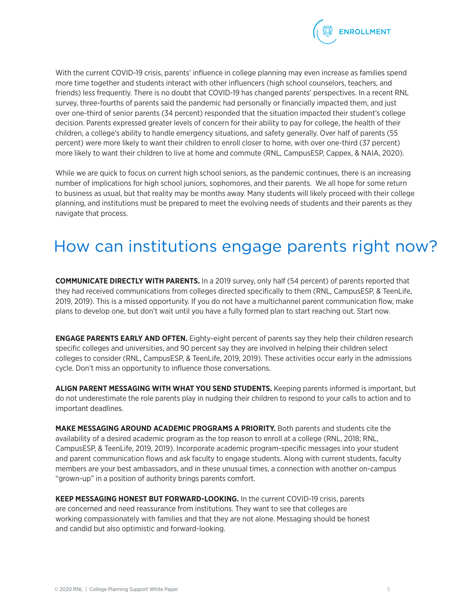

With the current COVID-19 crisis, parents' influence in college planning may even increase as families spend more time together and students interact with other influencers (high school counselors, teachers, and friends) less frequently. There is no doubt that COVID-19 has changed parents' perspectives. In a recent RNL survey, three-fourths of parents said the pandemic had personally or financially impacted them, and just over one-third of senior parents (34 percent) responded that the situation impacted their student's college decision. Parents expressed greater levels of concern for their ability to pay for college, the health of their children, a college's ability to handle emergency situations, and safety generally. Over half of parents (55 percent) were more likely to want their children to enroll closer to home, with over one-third (37 percent) more likely to want their children to live at home and commute (RNL, CampusESP, Cappex, & NAIA, 2020).

While we are quick to focus on current high school seniors, as the pandemic continues, there is an increasing number of implications for high school juniors, sophomores, and their parents. We all hope for some return to business as usual, but that reality may be months away. Many students will likely proceed with their college planning, and institutions must be prepared to meet the evolving needs of students and their parents as they navigate that process.

## How can institutions engage parents right now?

**COMMUNICATE DIRECTLY WITH PARENTS.** In a 2019 survey, only half (54 percent) of parents reported that they had received communications from colleges directed specifically to them (RNL, CampusESP, & TeenLife, 2019, 2019). This is a missed opportunity. If you do not have a multichannel parent communication flow, make plans to develop one, but don't wait until you have a fully formed plan to start reaching out. Start now.

**ENGAGE PARENTS EARLY AND OFTEN.** Eighty-eight percent of parents say they help their children research specific colleges and universities, and 90 percent say they are involved in helping their children select colleges to consider (RNL, CampusESP, & TeenLife, 2019, 2019). These activities occur early in the admissions cycle. Don't miss an opportunity to influence those conversations.

**ALIGN PARENT MESSAGING WITH WHAT YOU SEND STUDENTS.** Keeping parents informed is important, but do not underestimate the role parents play in nudging their children to respond to your calls to action and to important deadlines.

**MAKE MESSAGING AROUND ACADEMIC PROGRAMS A PRIORITY.** Both parents and students cite the availability of a desired academic program as the top reason to enroll at a college (RNL, 2018; RNL, CampusESP, & TeenLife, 2019, 2019). Incorporate academic program-specific messages into your student and parent communication flows and ask faculty to engage students. Along with current students, faculty members are your best ambassadors, and in these unusual times, a connection with another on-campus "grown-up" in a position of authority brings parents comfort.

**KEEP MESSAGING HONEST BUT FORWARD-LOOKING.** In the current COVID-19 crisis, parents are concerned and need reassurance from institutions. They want to see that colleges are working compassionately with families and that they are not alone. Messaging should be honest and candid but also optimistic and forward-looking.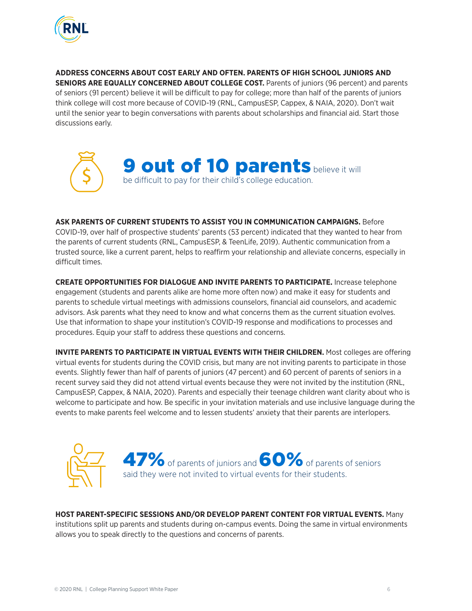

**ADDRESS CONCERNS ABOUT COST EARLY AND OFTEN. PARENTS OF HIGH SCHOOL JUNIORS AND SENIORS ARE EQUALLY CONCERNED ABOUT COLLEGE COST.** Parents of juniors (96 percent) and parents of seniors (91 percent) believe it will be difficult to pay for college; more than half of the parents of juniors think college will cost more because of COVID-19 (RNL, CampusESP, Cappex, & NAIA, 2020). Don't wait until the senior year to begin conversations with parents about scholarships and financial aid. Start those discussions early.



**ASK PARENTS OF CURRENT STUDENTS TO ASSIST YOU IN COMMUNICATION CAMPAIGNS.** Before COVID-19, over half of prospective students' parents (53 percent) indicated that they wanted to hear from the parents of current students (RNL, CampusESP, & TeenLife, 2019). Authentic communication from a trusted source, like a current parent, helps to reaffirm your relationship and alleviate concerns, especially in difficult times.

**CREATE OPPORTUNITIES FOR DIALOGUE AND INVITE PARENTS TO PARTICIPATE.** Increase telephone engagement (students and parents alike are home more often now) and make it easy for students and parents to schedule virtual meetings with admissions counselors, financial aid counselors, and academic advisors. Ask parents what they need to know and what concerns them as the current situation evolves. Use that information to shape your institution's COVID-19 response and modifications to processes and procedures. Equip your staff to address these questions and concerns.

**INVITE PARENTS TO PARTICIPATE IN VIRTUAL EVENTS WITH THEIR CHILDREN.** Most colleges are offering virtual events for students during the COVID crisis, but many are not inviting parents to participate in those events. Slightly fewer than half of parents of juniors (47 percent) and 60 percent of parents of seniors in a recent survey said they did not attend virtual events because they were not invited by the institution (RNL, CampusESP, Cappex, & NAIA, 2020). Parents and especially their teenage children want clarity about who is welcome to participate and how. Be specific in your invitation materials and use inclusive language during the events to make parents feel welcome and to lessen students' anxiety that their parents are interlopers.



**HOST PARENT-SPECIFIC SESSIONS AND/OR DEVELOP PARENT CONTENT FOR VIRTUAL EVENTS.** Many

institutions split up parents and students during on-campus events. Doing the same in virtual environments allows you to speak directly to the questions and concerns of parents.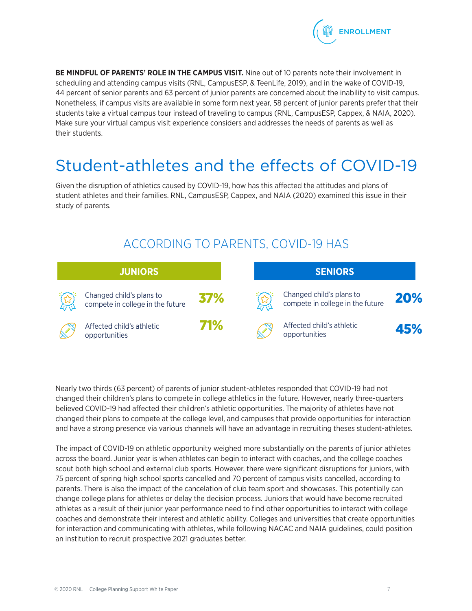

**BE MINDFUL OF PARENTS' ROLE IN THE CAMPUS VISIT.** Nine out of 10 parents note their involvement in scheduling and attending campus visits (RNL, CampusESP, & TeenLife, 2019), and in the wake of COVID-19, 44 percent of senior parents and 63 percent of junior parents are concerned about the inability to visit campus. Nonetheless, if campus visits are available in some form next year, 58 percent of junior parents prefer that their students take a virtual campus tour instead of traveling to campus (RNL, CampusESP, Cappex, & NAIA, 2020). Make sure your virtual campus visit experience considers and addresses the needs of parents as well as their students.

# Student-athletes and the effects of COVID-19

Given the disruption of athletics caused by COVID-19, how has this affected the attitudes and plans of student athletes and their families. RNL, CampusESP, Cappex, and NAIA (2020) examined this issue in their study of parents.

## ACCORDING TO PARENTS, COVID-19 HAS

| <b>JUNIORS</b> |                                                              |            | <b>SENIORS</b> |                                                              |     |
|----------------|--------------------------------------------------------------|------------|----------------|--------------------------------------------------------------|-----|
|                | Changed child's plans to<br>compete in college in the future | 37%        |                | Changed child's plans to<br>compete in college in the future | 20% |
|                | Affected child's athletic<br>opportunities                   | <b>71%</b> |                | Affected child's athletic<br>opportunities                   | 45% |

Nearly two thirds (63 percent) of parents of junior student-athletes responded that COVID-19 had not changed their children's plans to compete in college athletics in the future. However, nearly three-quarters believed COVID-19 had affected their children's athletic opportunities. The majority of athletes have not changed their plans to compete at the college level, and campuses that provide opportunities for interaction and have a strong presence via various channels will have an advantage in recruiting theses student-athletes.

The impact of COVID-19 on athletic opportunity weighed more substantially on the parents of junior athletes across the board. Junior year is when athletes can begin to interact with coaches, and the college coaches scout both high school and external club sports. However, there were significant disruptions for juniors, with 75 percent of spring high school sports cancelled and 70 percent of campus visits cancelled, according to parents. There is also the impact of the cancelation of club team sport and showcases. This potentially can change college plans for athletes or delay the decision process. Juniors that would have become recruited athletes as a result of their junior year performance need to find other opportunities to interact with college coaches and demonstrate their interest and athletic ability. Colleges and universities that create opportunities for interaction and communicating with athletes, while following NACAC and NAIA guidelines, could position an institution to recruit prospective 2021 graduates better.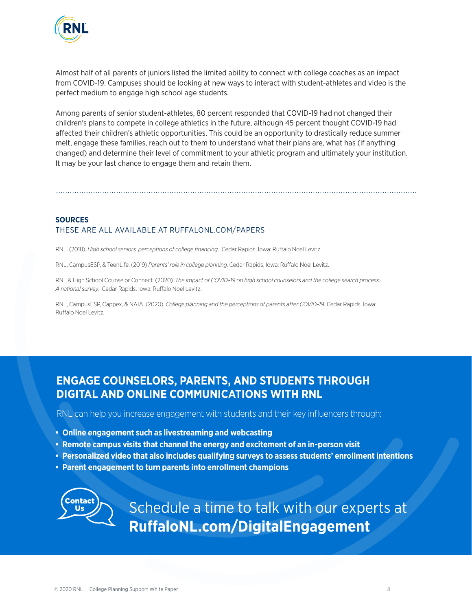

Almost half of all parents of juniors listed the limited ability to connect with college coaches as an impact from COVID-19. Campuses should be looking at new ways to interact with student-athletes and video is the perfect medium to engage high school age students.

Among parents of senior student-athletes, 80 percent responded that COVID-19 had not changed their children's plans to compete in college athletics in the future, although 45 percent thought COVID-19 had affected their children's athletic opportunities. This could be an opportunity to drastically reduce summer melt, engage these families, reach out to them to understand what their plans are, what has (if anything changed) and determine their level of commitment to your athletic program and ultimately your institution. It may be your last chance to engage them and retain them.

#### **SOURCES** THESE ARE ALL AVAILABLE AT RUFFALONL.COM/PAPERS

RNL. (2018). *High school seniors' perceptions of college financing.* Cedar Rapids, Iowa: Ruffalo Noel Levitz.

RNL, CampusESP, & TeenLife. (2019) *Parents' role in college planning*. Cedar Rapids, Iowa: Ruffalo Noel Levitz.

RNL & High School Counselor Connect. (2020). *The impact of COVID-19 on high school counselors and the college search process: A national survey.* Cedar Rapids, Iowa: Ruffalo Noel Levitz.

RNL, CampusESP, Cappex, & NAIA. (2020). *College planning and the perceptions of parents after COVID-19.* Cedar Rapids, Iowa: Ruffalo Noel Levitz.

#### **ENGAGE COUNSELORS, PARENTS, AND STUDENTS THROUGH DIGITAL AND ONLINE COMMUNICATIONS WITH RNL**

RNL can help you increase engagement with students and their key influencers through:

- **Online engagement such as livestreaming and webcasting**
- **Remote campus visits that channel the energy and excitement of an in-person visit**
- **Personalized video that also includes qualifying surveys to assess students' enrollment intentions**
- **Parent engagement to turn parents into enrollment champions**



Schedule a time to talk with our experts at **RuffaloNL.com/DigitalEngagement**